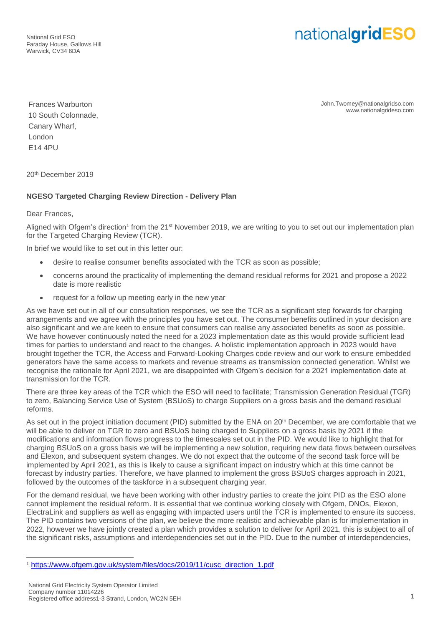National Grid ESO Faraday House, Gallows Hill Warwick, CV34 6DA

## nationalgridESO

Frances Warburton 10 South Colonnade, Canary Wharf, London E14 4PU

John.Twomey@nationalgridso.com www.nationalgrideso.com

20th December 2019

## **NGESO Targeted Charging Review Direction - Delivery Plan**

Dear Frances,

Aligned with Ofgem's direction<sup>1</sup> from the 21<sup>st</sup> November 2019, we are writing to you to set out our implementation plan for the Targeted Charging Review (TCR).

In brief we would like to set out in this letter our:

- desire to realise consumer benefits associated with the TCR as soon as possible;
- concerns around the practicality of implementing the demand residual reforms for 2021 and propose a 2022 date is more realistic
- request for a follow up meeting early in the new year

As we have set out in all of our consultation responses, we see the TCR as a significant step forwards for charging arrangements and we agree with the principles you have set out. The consumer benefits outlined in your decision are also significant and we are keen to ensure that consumers can realise any associated benefits as soon as possible. We have however continuously noted the need for a 2023 implementation date as this would provide sufficient lead times for parties to understand and react to the changes. A holistic implementation approach in 2023 would have brought together the TCR, the Access and Forward-Looking Charges code review and our work to ensure embedded generators have the same access to markets and revenue streams as transmission connected generation. Whilst we recognise the rationale for April 2021, we are disappointed with Ofgem's decision for a 2021 implementation date at transmission for the TCR.

There are three key areas of the TCR which the ESO will need to facilitate; Transmission Generation Residual (TGR) to zero, Balancing Service Use of System (BSUoS) to charge Suppliers on a gross basis and the demand residual reforms.

As set out in the project initiation document (PID) submitted by the ENA on 20<sup>th</sup> December, we are comfortable that we will be able to deliver on TGR to zero and BSUoS being charged to Suppliers on a gross basis by 2021 if the modifications and information flows progress to the timescales set out in the PID. We would like to highlight that for charging BSUoS on a gross basis we will be implementing a new solution, requiring new data flows between ourselves and Elexon, and subsequent system changes. We do not expect that the outcome of the second task force will be implemented by April 2021, as this is likely to cause a significant impact on industry which at this time cannot be forecast by industry parties. Therefore, we have planned to implement the gross BSUoS charges approach in 2021, followed by the outcomes of the taskforce in a subsequent charging year.

For the demand residual, we have been working with other industry parties to create the joint PID as the ESO alone cannot implement the residual reform. It is essential that we continue working closely with Ofgem, DNOs, Elexon, ElectraLink and suppliers as well as engaging with impacted users until the TCR is implemented to ensure its success. The PID contains two versions of the plan, we believe the more realistic and achievable plan is for implementation in 2022, however we have jointly created a plan which provides a solution to deliver for April 2021, this is subject to all of the significant risks, assumptions and interdependencies set out in the PID. Due to the number of interdependencies,

 $\overline{a}$ 

<sup>1</sup> [https://www.ofgem.gov.uk/system/files/docs/2019/11/cusc\\_direction\\_1.pdf](https://www.ofgem.gov.uk/system/files/docs/2019/11/cusc_direction_1.pdf)